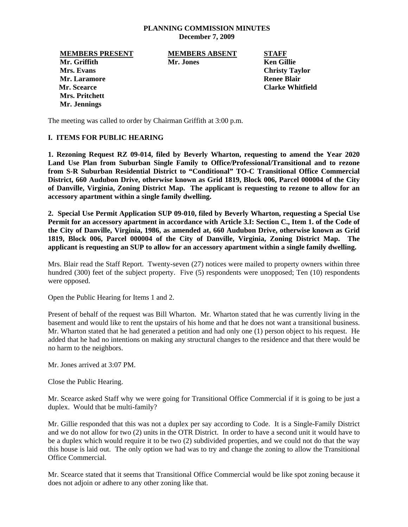### **PLANNING COMMISSION MINUTES December 7, 2009**

**MEMBERS PRESENT MEMBERS ABSENT STAFF Mr. Griffith Mr. Jones Ken Gillie Mrs. Evans** Christy Taylor **Christy Taylor Christy Taylor Mr. Laramore Renee Blair Renee Blair Renee Blair Mr. Scearce Clarke Whitfield Mrs. Pritchett Mr. Jennings** 

The meeting was called to order by Chairman Griffith at 3:00 p.m.

## **I. ITEMS FOR PUBLIC HEARING**

**1. Rezoning Request RZ 09-014, filed by Beverly Wharton, requesting to amend the Year 2020 Land Use Plan from Suburban Single Family to Office/Professional/Transitional and to rezone from S-R Suburban Residential District to "Conditional" TO-C Transitional Office Commercial District, 660 Audubon Drive, otherwise known as Grid 1819, Block 006, Parcel 000004 of the City of Danville, Virginia, Zoning District Map. The applicant is requesting to rezone to allow for an accessory apartment within a single family dwelling.** 

**2. Special Use Permit Application SUP 09-010, filed by Beverly Wharton, requesting a Special Use Permit for an accessory apartment in accordance with Article 3.I: Section C., Item 1. of the Code of the City of Danville, Virginia, 1986, as amended at, 660 Audubon Drive, otherwise known as Grid 1819, Block 006, Parcel 000004 of the City of Danville, Virginia, Zoning District Map. The applicant is requesting an SUP to allow for an accessory apartment within a single family dwelling.** 

Mrs. Blair read the Staff Report. Twenty-seven (27) notices were mailed to property owners within three hundred (300) feet of the subject property. Five (5) respondents were unopposed; Ten (10) respondents were opposed.

Open the Public Hearing for Items 1 and 2.

Present of behalf of the request was Bill Wharton. Mr. Wharton stated that he was currently living in the basement and would like to rent the upstairs of his home and that he does not want a transitional business. Mr. Wharton stated that he had generated a petition and had only one (1) person object to his request. He added that he had no intentions on making any structural changes to the residence and that there would be no harm to the neighbors.

Mr. Jones arrived at 3:07 PM.

Close the Public Hearing.

Mr. Scearce asked Staff why we were going for Transitional Office Commercial if it is going to be just a duplex. Would that be multi-family?

Mr. Gillie responded that this was not a duplex per say according to Code. It is a Single-Family District and we do not allow for two (2) units in the OTR District. In order to have a second unit it would have to be a duplex which would require it to be two (2) subdivided properties, and we could not do that the way this house is laid out. The only option we had was to try and change the zoning to allow the Transitional Office Commercial.

Mr. Scearce stated that it seems that Transitional Office Commercial would be like spot zoning because it does not adjoin or adhere to any other zoning like that.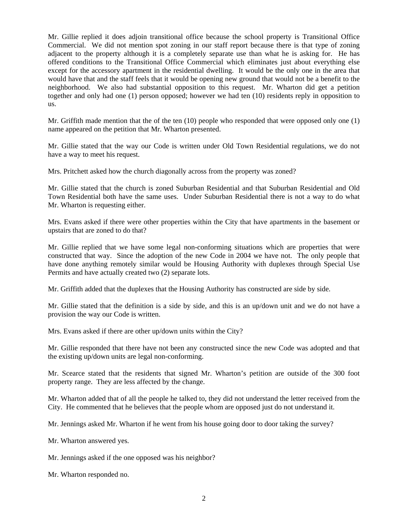Mr. Gillie replied it does adjoin transitional office because the school property is Transitional Office Commercial. We did not mention spot zoning in our staff report because there is that type of zoning adjacent to the property although it is a completely separate use than what he is asking for. He has offered conditions to the Transitional Office Commercial which eliminates just about everything else except for the accessory apartment in the residential dwelling. It would be the only one in the area that would have that and the staff feels that it would be opening new ground that would not be a benefit to the neighborhood. We also had substantial opposition to this request. Mr. Wharton did get a petition together and only had one (1) person opposed; however we had ten (10) residents reply in opposition to us.

Mr. Griffith made mention that the of the ten (10) people who responded that were opposed only one (1) name appeared on the petition that Mr. Wharton presented.

Mr. Gillie stated that the way our Code is written under Old Town Residential regulations, we do not have a way to meet his request.

Mrs. Pritchett asked how the church diagonally across from the property was zoned?

Mr. Gillie stated that the church is zoned Suburban Residential and that Suburban Residential and Old Town Residential both have the same uses. Under Suburban Residential there is not a way to do what Mr. Wharton is requesting either.

Mrs. Evans asked if there were other properties within the City that have apartments in the basement or upstairs that are zoned to do that?

Mr. Gillie replied that we have some legal non-conforming situations which are properties that were constructed that way. Since the adoption of the new Code in 2004 we have not. The only people that have done anything remotely similar would be Housing Authority with duplexes through Special Use Permits and have actually created two (2) separate lots.

Mr. Griffith added that the duplexes that the Housing Authority has constructed are side by side.

Mr. Gillie stated that the definition is a side by side, and this is an up/down unit and we do not have a provision the way our Code is written.

Mrs. Evans asked if there are other up/down units within the City?

Mr. Gillie responded that there have not been any constructed since the new Code was adopted and that the existing up/down units are legal non-conforming.

Mr. Scearce stated that the residents that signed Mr. Wharton's petition are outside of the 300 foot property range. They are less affected by the change.

Mr. Wharton added that of all the people he talked to, they did not understand the letter received from the City. He commented that he believes that the people whom are opposed just do not understand it.

Mr. Jennings asked Mr. Wharton if he went from his house going door to door taking the survey?

Mr. Wharton answered yes.

Mr. Jennings asked if the one opposed was his neighbor?

Mr. Wharton responded no.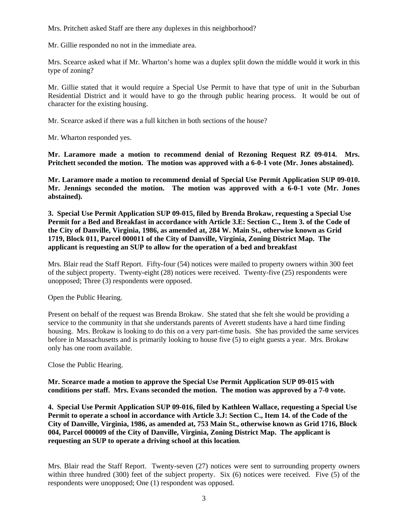Mrs. Pritchett asked Staff are there any duplexes in this neighborhood?

Mr. Gillie responded no not in the immediate area.

Mrs. Scearce asked what if Mr. Wharton's home was a duplex split down the middle would it work in this type of zoning?

Mr. Gillie stated that it would require a Special Use Permit to have that type of unit in the Suburban Residential District and it would have to go the through public hearing process. It would be out of character for the existing housing.

Mr. Scearce asked if there was a full kitchen in both sections of the house?

Mr. Wharton responded yes.

**Mr. Laramore made a motion to recommend denial of Rezoning Request RZ 09-014. Mrs. Pritchett seconded the motion. The motion was approved with a 6-0-1 vote (Mr. Jones abstained).** 

**Mr. Laramore made a motion to recommend denial of Special Use Permit Application SUP 09-010. Mr. Jennings seconded the motion. The motion was approved with a 6-0-1 vote (Mr. Jones abstained).** 

**3. Special Use Permit Application SUP 09-015, filed by Brenda Brokaw, requesting a Special Use Permit for a Bed and Breakfast in accordance with Article 3.E: Section C., Item 3. of the Code of the City of Danville, Virginia, 1986, as amended at, 284 W. Main St., otherwise known as Grid 1719, Block 011, Parcel 000011 of the City of Danville, Virginia, Zoning District Map. The applicant is requesting an SUP to allow for the operation of a bed and breakfast** 

Mrs. Blair read the Staff Report. Fifty-four (54) notices were mailed to property owners within 300 feet of the subject property. Twenty-eight (28) notices were received. Twenty-five (25) respondents were unopposed; Three (3) respondents were opposed.

Open the Public Hearing.

Present on behalf of the request was Brenda Brokaw. She stated that she felt she would be providing a service to the community in that she understands parents of Averett students have a hard time finding housing. Mrs. Brokaw is looking to do this on a very part-time basis. She has provided the same services before in Massachusetts and is primarily looking to house five (5) to eight guests a year. Mrs. Brokaw only has one room available.

Close the Public Hearing.

**Mr. Scearce made a motion to approve the Special Use Permit Application SUP 09-015 with conditions per staff. Mrs. Evans seconded the motion. The motion was approved by a 7-0 vote.** 

**4. Special Use Permit Application SUP 09-016, filed by Kathleen Wallace, requesting a Special Use Permit to operate a school in accordance with Article 3.J: Section C., Item 14. of the Code of the City of Danville, Virginia, 1986, as amended at, 753 Main St., otherwise known as Grid 1716, Block 004, Parcel 000009 of the City of Danville, Virginia, Zoning District Map. The applicant is requesting an SUP to operate a driving school at this location***.* 

Mrs. Blair read the Staff Report. Twenty-seven (27) notices were sent to surrounding property owners within three hundred (300) feet of the subject property. Six (6) notices were received. Five (5) of the respondents were unopposed; One (1) respondent was opposed.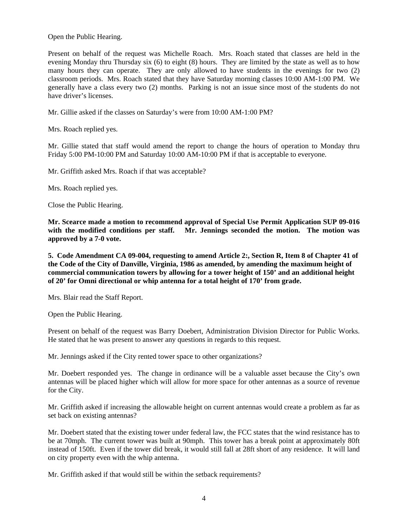Open the Public Hearing.

Present on behalf of the request was Michelle Roach. Mrs. Roach stated that classes are held in the evening Monday thru Thursday six (6) to eight (8) hours. They are limited by the state as well as to how many hours they can operate. They are only allowed to have students in the evenings for two (2) classroom periods. Mrs. Roach stated that they have Saturday morning classes 10:00 AM-1:00 PM. We generally have a class every two (2) months. Parking is not an issue since most of the students do not have driver's licenses.

Mr. Gillie asked if the classes on Saturday's were from 10:00 AM-1:00 PM?

Mrs. Roach replied yes.

Mr. Gillie stated that staff would amend the report to change the hours of operation to Monday thru Friday 5:00 PM-10:00 PM and Saturday 10:00 AM-10:00 PM if that is acceptable to everyone.

Mr. Griffith asked Mrs. Roach if that was acceptable?

Mrs. Roach replied yes.

Close the Public Hearing.

**Mr. Scearce made a motion to recommend approval of Special Use Permit Application SUP 09-016 with the modified conditions per staff. Mr. Jennings seconded the motion. The motion was approved by a 7-0 vote.** 

**5. Code Amendment CA 09-004, requesting to amend Article 2:, Section R, Item 8 of Chapter 41 of the Code of the City of Danville, Virginia, 1986 as amended, by amending the maximum height of commercial communication towers by allowing for a tower height of 150' and an additional height of 20' for Omni directional or whip antenna for a total height of 170' from grade.**

Mrs. Blair read the Staff Report.

Open the Public Hearing.

Present on behalf of the request was Barry Doebert, Administration Division Director for Public Works. He stated that he was present to answer any questions in regards to this request.

Mr. Jennings asked if the City rented tower space to other organizations?

Mr. Doebert responded yes. The change in ordinance will be a valuable asset because the City's own antennas will be placed higher which will allow for more space for other antennas as a source of revenue for the City.

Mr. Griffith asked if increasing the allowable height on current antennas would create a problem as far as set back on existing antennas?

Mr. Doebert stated that the existing tower under federal law, the FCC states that the wind resistance has to be at 70mph. The current tower was built at 90mph. This tower has a break point at approximately 80ft instead of 150ft. Even if the tower did break, it would still fall at 28ft short of any residence. It will land on city property even with the whip antenna.

Mr. Griffith asked if that would still be within the setback requirements?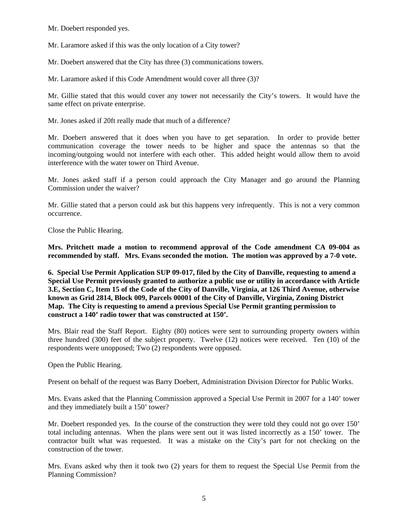Mr. Doebert responded yes.

Mr. Laramore asked if this was the only location of a City tower?

Mr. Doebert answered that the City has three (3) communications towers.

Mr. Laramore asked if this Code Amendment would cover all three (3)?

Mr. Gillie stated that this would cover any tower not necessarily the City's towers. It would have the same effect on private enterprise.

Mr. Jones asked if 20ft really made that much of a difference?

Mr. Doebert answered that it does when you have to get separation. In order to provide better communication coverage the tower needs to be higher and space the antennas so that the incoming/outgoing would not interfere with each other. This added height would allow them to avoid interference with the water tower on Third Avenue.

Mr. Jones asked staff if a person could approach the City Manager and go around the Planning Commission under the waiver?

Mr. Gillie stated that a person could ask but this happens very infrequently. This is not a very common occurrence.

Close the Public Hearing.

**Mrs. Pritchett made a motion to recommend approval of the Code amendment CA 09-004 as recommended by staff. Mrs. Evans seconded the motion. The motion was approved by a 7-0 vote.** 

**6. Special Use Permit Application SUP 09-017, filed by the City of Danville, requesting to amend a Special Use Permit previously granted to authorize a public use or utility in accordance with Article 3.E, Section C, Item 15 of the Code of the City of Danville, Virginia, at 126 Third Avenue, otherwise known as Grid 2814, Block 009, Parcels 00001 of the City of Danville, Virginia, Zoning District Map. The City is requesting to amend a previous Special Use Permit granting permission to construct a 140' radio tower that was constructed at 150'.** 

Mrs. Blair read the Staff Report. Eighty (80) notices were sent to surrounding property owners within three hundred (300) feet of the subject property. Twelve (12) notices were received. Ten (10) of the respondents were unopposed; Two (2) respondents were opposed.

Open the Public Hearing.

Present on behalf of the request was Barry Doebert, Administration Division Director for Public Works.

Mrs. Evans asked that the Planning Commission approved a Special Use Permit in 2007 for a 140' tower and they immediately built a 150' tower?

Mr. Doebert responded yes. In the course of the construction they were told they could not go over 150' total including antennas. When the plans were sent out it was listed incorrectly as a 150' tower. The contractor built what was requested. It was a mistake on the City's part for not checking on the construction of the tower.

Mrs. Evans asked why then it took two (2) years for them to request the Special Use Permit from the Planning Commission?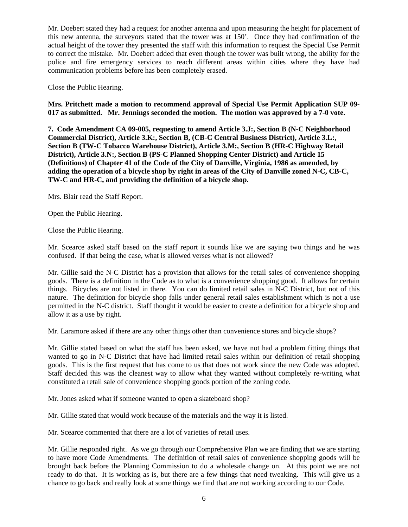Mr. Doebert stated they had a request for another antenna and upon measuring the height for placement of this new antenna, the surveyors stated that the tower was at 150'. Once they had confirmation of the actual height of the tower they presented the staff with this information to request the Special Use Permit to correct the mistake. Mr. Doebert added that even though the tower was built wrong, the ability for the police and fire emergency services to reach different areas within cities where they have had communication problems before has been completely erased.

Close the Public Hearing.

**Mrs. Pritchett made a motion to recommend approval of Special Use Permit Application SUP 09- 017 as submitted. Mr. Jennings seconded the motion. The motion was approved by a 7-0 vote.** 

**7. Code Amendment CA 09-005, requesting to amend Article 3.J:, Section B (N-C Neighborhood Commercial District), Article 3.K:, Section B, (CB-C Central Business District), Article 3.L:, Section B (TW-C Tobacco Warehouse District), Article 3.M:, Section B (HR-C Highway Retail District), Article 3.N:, Section B (PS-C Planned Shopping Center District) and Article 15 (Definitions) of Chapter 41 of the Code of the City of Danville, Virginia, 1986 as amended, by adding the operation of a bicycle shop by right in areas of the City of Danville zoned N-C, CB-C, TW-C and HR-C, and providing the definition of a bicycle shop.**

Mrs. Blair read the Staff Report.

Open the Public Hearing.

Close the Public Hearing.

Mr. Scearce asked staff based on the staff report it sounds like we are saying two things and he was confused. If that being the case, what is allowed verses what is not allowed?

Mr. Gillie said the N-C District has a provision that allows for the retail sales of convenience shopping goods. There is a definition in the Code as to what is a convenience shopping good. It allows for certain things. Bicycles are not listed in there. You can do limited retail sales in N-C District, but not of this nature. The definition for bicycle shop falls under general retail sales establishment which is not a use permitted in the N-C district. Staff thought it would be easier to create a definition for a bicycle shop and allow it as a use by right.

Mr. Laramore asked if there are any other things other than convenience stores and bicycle shops?

Mr. Gillie stated based on what the staff has been asked, we have not had a problem fitting things that wanted to go in N-C District that have had limited retail sales within our definition of retail shopping goods. This is the first request that has come to us that does not work since the new Code was adopted. Staff decided this was the cleanest way to allow what they wanted without completely re-writing what constituted a retail sale of convenience shopping goods portion of the zoning code.

Mr. Jones asked what if someone wanted to open a skateboard shop?

Mr. Gillie stated that would work because of the materials and the way it is listed.

Mr. Scearce commented that there are a lot of varieties of retail uses.

Mr. Gillie responded right. As we go through our Comprehensive Plan we are finding that we are starting to have more Code Amendments. The definition of retail sales of convenience shopping goods will be brought back before the Planning Commission to do a wholesale change on. At this point we are not ready to do that. It is working as is, but there are a few things that need tweaking. This will give us a chance to go back and really look at some things we find that are not working according to our Code.